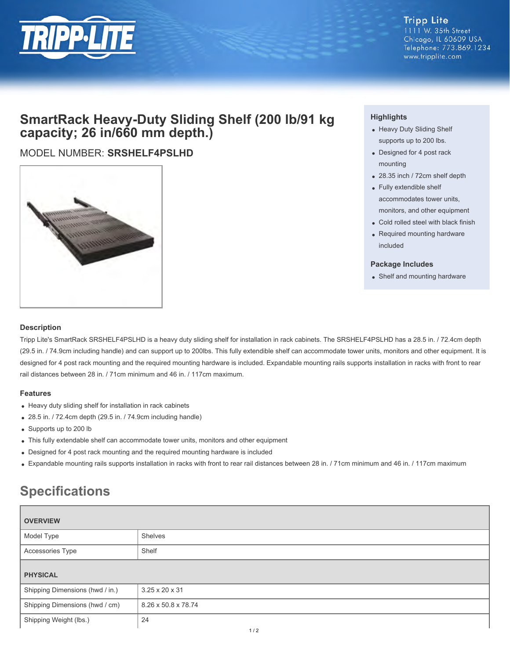

## **SmartRack Heavy-Duty Sliding Shelf (200 lb/91 kg capacity; 26 in/660 mm depth.)**

### MODEL NUMBER: **SRSHELF4PSLHD**



#### **Highlights**

- Heavy Duty Sliding Shelf supports up to 200 lbs.
- Designed for 4 post rack mounting
- 28.35 inch / 72cm shelf depth
- Fully extendible shelf accommodates tower units, monitors, and other equipment
- Cold rolled steel with black finish
- Required mounting hardware included

#### **Package Includes**

• Shelf and mounting hardware

#### **Description**

Tripp Lite's SmartRack SRSHELF4PSLHD is a heavy duty sliding shelf for installation in rack cabinets. The SRSHELF4PSLHD has a 28.5 in. / 72.4cm depth (29.5 in. / 74.9cm including handle) and can support up to 200lbs. This fully extendible shelf can accommodate tower units, monitors and other equipment. It is designed for 4 post rack mounting and the required mounting hardware is included. Expandable mounting rails supports installation in racks with front to rear rail distances between 28 in. / 71cm minimum and 46 in. / 117cm maximum.

#### **Features**

- Heavy duty sliding shelf for installation in rack cabinets
- 28.5 in. / 72.4cm depth (29.5 in. / 74.9cm including handle)
- Supports up to 200 lb
- This fully extendable shelf can accommodate tower units, monitors and other equipment
- Designed for 4 post rack mounting and the required mounting hardware is included
- Expandable mounting rails supports installation in racks with front to rear rail distances between 28 in. / 71cm minimum and 46 in. / 117cm maximum

# **Specifications**

| <b>OVERVIEW</b>                 |                     |
|---------------------------------|---------------------|
| Model Type                      | Shelves             |
| Accessories Type                | Shelf               |
| <b>PHYSICAL</b>                 |                     |
|                                 |                     |
| Shipping Dimensions (hwd / in.) | 3.25 x 20 x 31      |
| Shipping Dimensions (hwd / cm)  | 8.26 x 50.8 x 78.74 |